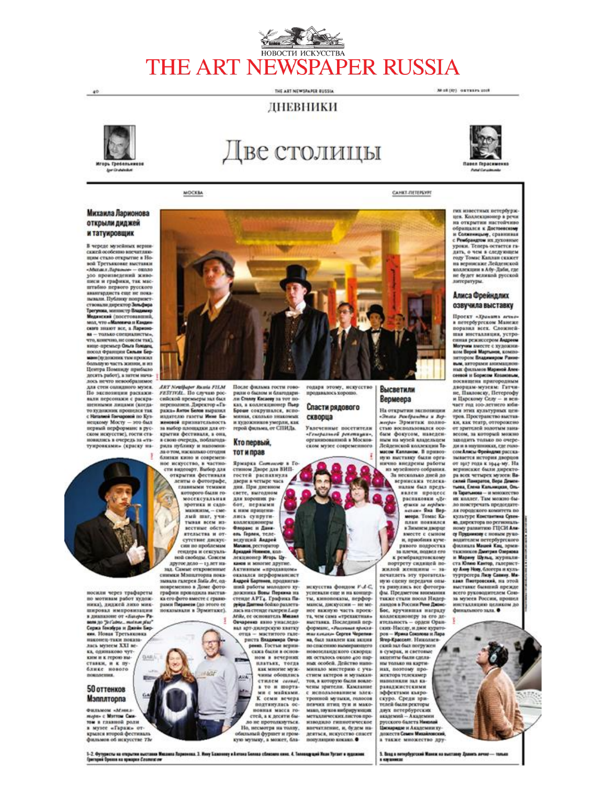## HOBOCTH HCKYCCTBA THE ART NEWSPAPER RUSSIA

THE ART NEWSPAPER BUSSIA

## ЛНЕВНИКИ



 $40$ 

# Две столицы



Mol (87) outside cost

MOCKBA

CAHKT-TIETEPSYPE

#### Михаила Ларионова открыли диджей и татуировщик

В череде музейных верни-<br>скией особенно мисчитляюпри стало открытие в Но-вой Третьяковке выстанан<br>«Малака Лараные» — около 100 произведений живописи и графики, так масштабно первого русского<br>ввангардиста еще не пока-<br>вынали. Публику поприяетmradoso ствовали директор Заварира<br>Трегуюна, милоктр Владимир<br>Мединский (посетованний,<br>мол, что «Маминча и Канди» ского знакот все, а Ларио ского лицкот пос, а Ларионо-<br>ви – только сигидинство,<br>что, конечно, не совсем так),<br>нице-премьер Оньга Гондан,<br>после Франция Санала Бор-<br>мане (художник там прожал<br>Сольную часть жиния,<br>петра Поминду прибано.<br>легень выбогі десять работ), а затем началось нечто невообразимое<br>для стен солидного музея.<br>По экспозиции расхаживали персонажи с раскраписними лицами (когда-<br>то художник проислея так<br>с Ницами Ганаровой по Куз-<br>нецкому Мосту — это был первый перформанс в рус-<br>ском искусстве), гости стаповились в очередь за «твтуировками» (краску на-



сийской премьеры нат был<br>переполнен. Директор «Га-<br>ража» Антис Бени наразил<br>издателю газеты Иние Баженовой признательность за выбор площадки для от<br>крытия фестиваля, а она в свою очередь, поблагодаpours mythnessy is manoporess ла отом, насколько сегодня<br>близки кино и современ-<br>ное искусство, в частно-

сти видеоарт. Выбор для открытия фестивали<br>ленты о фотографе,<br>главными темами которого были гомосексуальная<br>эротика и садо-<br>махилия, - смелый шаг, учи-<br>тывая всем из-<br>вестные обсто-<br>ятельства и от- $\label{eq:2} \begin{tabular}{|c|c|} \hline \multicolumn{3}{|c|}{\textbf{system and nodes}} \\ \hline \multicolumn{3}{|c|}{\textbf{c} = \textbf{m} \times \textbf{m} \times \textbf{m} \times \textbf{m} \times \textbf{m} \times \textbf{m} \times \textbf{m} \times \textbf{m} \times \textbf{m} \times \textbf{m} \times \textbf{m} \times \textbf{m} \times \textbf{m} \times \textbf{m} \times \textbf{m} \times \textbf{m} \times \textbf{m} \times \textbf{m} \times \textbf{m} \times \textbf{$ зад. Самые откровенные<br>снимки Мэнвлтория пока-<br>завили галерея Stalis Av, одновременно в Ломе фото графии проходила выстав-<br>ка его фото вместе с грави-<br>рама: Пиранеак (до этого ее<br>показывали в Эрмитаже). ли Столу Косаову за тот по-<br>каз, а коллекционер Пьер<br>Броне сокрушался, испоминая, сколько знакомых и художников умерли, как<br>герой фильма, от СПИДа.

#### Кто первый, тот и прав

Ярмарка *Сатоко*в в Го<br>стином Дворе для ВИП-<br>гостей распахнула<br>двери в четыре часа<br>дня. При днеаном свете, выгодном для хороших ра<br>бот, первыми<br>к ним приценились супругиколлекционеры<br>Флоранс и Дани-<br>ель Герлен, теле-<br>ведущий Андрей<br>Махиов рестилий Макаков, ресторатор<br>Аркадий Новиков, кол-<br>лекционер Игорь Цуканов и мозогие другие. Активным «продавцом»<br>оказался перформансист оказаль и продвигав-<br>пий работы молодого ху-<br>пожника Вовы Первина на<br>стенде АРТ4. Графика Паруйра Дантина бойло разлета лась на стенде галерен Lasp Atike, ee ocmonuve.xy. Massac Овчарения инно унаследо-<br>нал арт-дилерскую хватку отца - маститого галериста Владимира Овча-<br>рини. Гостьи верни-<br>сажа были в основном в вечерних HARTBEK, TOTAR<br>KAK MINNISE MYK-<br>NIHM OSOBLISES стилем созио!,<br>а то и порта-<br>ми с майками.<br>К семи вечера подтянулась ос-

**BOBBAN MACCA PO-**

стей, а к десяти бы-<br>ло не протолкнуться. Но, несмотря на толпу.

обельный фуршет и гром-<br>кую музыку, а может, бла-

ила Ларионова. 3. Инну Бажоннеу и Антона Белика сблюзило кино. 4. Теловедущий Иван Тргант и пудки

#### Высветили Вермеера

скворца Увлеченные посетители «Генеральной рекотиции».<br>организованной в Московском музее современного

искусства фондом F-A-C.

успевали еще и на концер-<br>ты, кинопоказы, перфор-<br>мансы, дискуссии -- не ме-

нее важную часть проек-

та, чем сама «трехактика»<br>выставка. Последний пер-<br>форманс, «Рынчмая христа»<br>нас кокако- Сергея Черепко

на, был заявлен как акция

стью воспользовался осо-<br>бым фокусом, наведенным на музей владельцем Лейденской коллекции То-

мисом Капландм. В привоз-<br>пую выставку были орга-<br>нично внедрены работы из музейного собрания. а несколько дней до<br>неринския телека-<br>налам был предъ-3a нален процесс<br>распиковки «Де-<br>ерики за вербиси»<br>менано Яна Вер-<br>менан Томас Каплан появился в Зимнем дворце<br>вместе с сыном и, приобила кучерквого подростка<br>за плечи, подвел его<br>к рембрандтовскому

«Энака Ромбрандта и Вор-<br>могра» Эрмитиж полно-

портрету сидищей по жилой женщины - запечатлеть эту трогатель-<br>пую сцену передачи опыта ринулись все фотографы.<br>Предметом внимания<br>также стали посол Нидер-лацдов в России Роме Джие Бос, вручившая награду вое, вручившим награду<br>поддекционеру за его де-<br>глеканость – орден Оран-<br>ров – Ирана Соколова и Лара<br>Ягор Храссонг, Николаев<br>Ский зал был погружен<br>в сумрая, и световые<br>в сумрая, не столье акценты были сдела-

ны только на картинах, поэтому про-<br>жектора телекамер наполняли зал ка**раваджистскими** эффектами къяро-<br>скуро. Среди зригелей были ректоры глон оказа религия<br>андемий - Андемии<br>русского балета Индемии<br>Циклопо балета Римановска<br>а также множество других известных петербурж. цев. Коллекционер в речи<br>на открытия настойчиво обращался к Достоевскому и Солинницый, сравники<br>с Рембрандим их духовные<br>уроки. Теперь остается гадать, о чем в следующем делу, Томас Каплан скажет<br>на вернисаже Лейденской<br>коллекции в Абу-Даби, где<br>не будет великой русской литературы.

#### Алиса Фрейндлих озвучила выставку

Проект «Хранить агене»<br>в петербургском Манеже поразил всех. Сложиса-<br>ним инсталиция, устро-<br>еники режиссером Андрем<br>ком Версі Марьнов, компо-<br>ком Версі Марьнов, компо-<br>нитором Владимером Ране-<br>них, литорими анисомиром-<br>сложи и Боржов Хамелей.<br>постанием и Боржов Хамел поразна всех. Сложнейсеевов и борисом Компоные,<br>посвящены пригородным<br>дворцам-музеям: Гитчи-<br>не, Павловску, Петергофу<br>и част год 100-летнего кон-<br>част год 100-летнего кон-<br>тов. Пространство высок<br>ги как этих культурных ценки, как театр, отгорожено<br>от зрителей золотым зана-<br>весом, за который можно<br>заходить только по очереди и в наушниках, где голо-<br>сом Анкы Фрейцана расска-<br>зывается история дворцов<br>от 1917 года к 1944-му. На вернисаже были директо ра всех четырех музеев: Ва<br>замяй Панцантов, Вера Демен<br>тына, Елена Кальницкая, Ольга Таратынова -- и министетно<br>их коллег. Там можно было повстречать председате-<br>ля городского комитета по<br>культуре Константныа Суханm, директора по региональному развитию ГЦСИ Аль-<br>ному развитию ГЦСИ Альсу Прудникову с новами руко-<br>подставливать пострбургского<br>филиппан Мацией Кан, прини-<br>таклинков Дантра, журнала-<br>на Мараеу Шульд, журнала-<br>га Юлие Кантру, паприни-<br>таклинков Кантру, Мацией Персинский, на этой наставляется всего руководителем Сою-<br>за музеев России, прошел финального зала.

носили через трафареты<br>по мотивам работ худож-<br>ника), диджей лихо микшировал импровизации anxioue or «Eurepe-Pa нем до Зегадине... metnem plus"<br>Сержа Генобрра и Джейн Бир-<br>кон. Нован Третьяковка наконец-таки показа лась музеем XXI не<br>ка, одинаково чут-**QLABLI** 

#### 50 оттенков Мэпплторпа

ким и к герою вы

ставки, и к пу<br>блике нового

**K All** 

Фильмом «Мина морн- с Могтом Сми-<br>том в главной роли в музее «Гараж» открылся второй фестиваль<br>фильмов об искусстве 716

1-2. Футуристы на открытии выстания Мих<br>Григорий Оролли на крилони Севяниксии

спасению вымирающего<br>позеландского скворца: ни осталось около 400 парных особей. Пейство нап ны особен денство и уча-<br>стнем актеров и музыкан-<br>тов, в которую были вовлечены зрители. Камлание с использованием элек-<br>тронной музыки, голосов певчих птиц туи и макомако, звуков вибрирующих<br>метаданческих листов про-<br>изводило гипантическое впечатление, и, будем надеяться, искусство сивсет<br>популяцию кокако. •

5. Brog a neropfyproced Manna na sucrancy Januara aerost- tamas